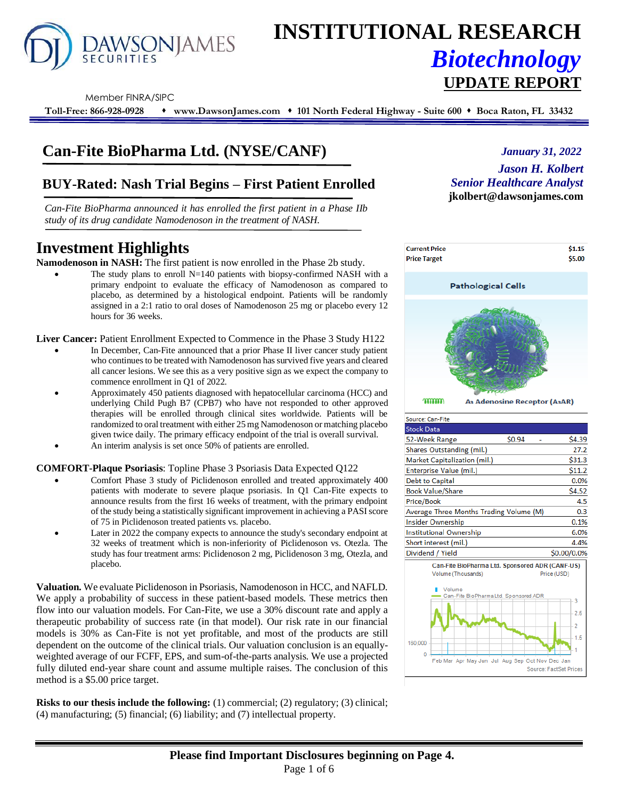

# **INSTITUTIONAL RESEARCH** *Biotechnology* **UPDATE REPORT**

Member FINRA/SIPC

**Toll-Free: 866-928-0928** ⬧ **www.DawsonJames.com** ⬧ **101 North Federal Highway - Suite 600** ⬧ **Boca Raton, FL 33432**

# **Can-Fite BioPharma Ltd. (NYSE/CANF)**

### **BUY-Rated: Nash Trial Begins – First Patient Enrolled**

*Can-Fite BioPharma announced it has enrolled the first patient in a Phase IIb study of its drug candidate Namodenoson in the treatment of NASH.* 

## **Investment Highlights**

**Namodenoson in NASH:** The first patient is now enrolled in the Phase 2b study.

The study plans to enroll  $N=140$  patients with biopsy-confirmed NASH with a primary endpoint to evaluate the efficacy of Namodenoson as compared to placebo, as determined by a histological endpoint. Patients will be randomly assigned in a 2:1 ratio to oral doses of Namodenoson 25 mg or placebo every 12 hours for 36 weeks.

**Liver Cancer:** Patient Enrollment Expected to Commence in the Phase 3 Study H122

- In December, Can-Fite announced that a prior Phase II liver cancer study patient who continues to be treated with Namodenoson has survived five years and cleared all cancer lesions. We see this as a very positive sign as we expect the company to commence enrollment in Q1 of 2022.
- Approximately 450 patients diagnosed with hepatocellular carcinoma (HCC) and underlying Child Pugh B7 (CPB7) who have not responded to other approved therapies will be enrolled through clinical sites worldwide. Patients will be randomized to oral treatment with either 25 mg Namodenoson or matching placebo given twice daily. The primary efficacy endpoint of the trial is overall survival.
- An interim analysis is set once 50% of patients are enrolled.

#### **COMFORT-Plaque Psoriasis**: Topline Phase 3 Psoriasis Data Expected Q122

- Comfort Phase 3 study of Piclidenoson enrolled and treated approximately 400 patients with moderate to severe plaque psoriasis. In Q1 Can-Fite expects to announce results from the first 16 weeks of treatment, with the primary endpoint of the study being a statistically significant improvement in achieving a PASI score of 75 in Piclidenoson treated patients vs. placebo.
- Later in 2022 the company expects to announce the study's secondary endpoint at 32 weeks of treatment which is non-inferiority of Piclidenoson vs. Otezla. The study has four treatment arms: Piclidenoson 2 mg, Piclidenoson 3 mg, Otezla, and placebo.

**Valuation.** We evaluate Piclidenoson in Psoriasis, Namodenoson in HCC, and NAFLD. We apply a probability of success in these patient-based models. These metrics then flow into our valuation models. For Can-Fite, we use a 30% discount rate and apply a therapeutic probability of success rate (in that model). Our risk rate in our financial models is 30% as Can-Fite is not yet profitable, and most of the products are still dependent on the outcome of the clinical trials. Our valuation conclusion is an equallyweighted average of our FCFF, EPS, and sum-of-the-parts analysis. We use a projected fully diluted end-year share count and assume multiple raises. The conclusion of this method is a \$5.00 price target.

**Risks to our thesis include the following:** (1) commercial; (2) regulatory; (3) clinical; (4) manufacturing; (5) financial; (6) liability; and (7) intellectual property.



*January 31, 2022*



| Source: Can-Fite                        |                                                 |              |
|-----------------------------------------|-------------------------------------------------|--------------|
| <b>Stock Data</b>                       |                                                 |              |
| 52-Week Range                           | \$0.94                                          | \$4.39       |
| Shares Outstanding (mil.)               |                                                 | 27.2         |
| Market Capitalization (mil.)            |                                                 | \$31.3       |
| Enterprise Value (mil.)                 |                                                 | \$11.2       |
| Debt to Capital                         |                                                 | 0.0%         |
| <b>Book Value/Share</b>                 |                                                 | \$4.52       |
| Price/Book                              |                                                 | 4.5          |
| Average Three Months Trading Volume (M) |                                                 | 0.3          |
| Insider Ownership                       |                                                 | 0.1%         |
| Institutional Ownership                 |                                                 | 6.0%         |
| Short interest (mil.)                   |                                                 | 4.4%         |
| Dividend / Yield                        |                                                 | \$0.00/0.0%  |
| Volume (Thousands)                      | Can-Fite BioPharma Ltd. Sponsored ADR (CANF-US) | Drine (LISD) |

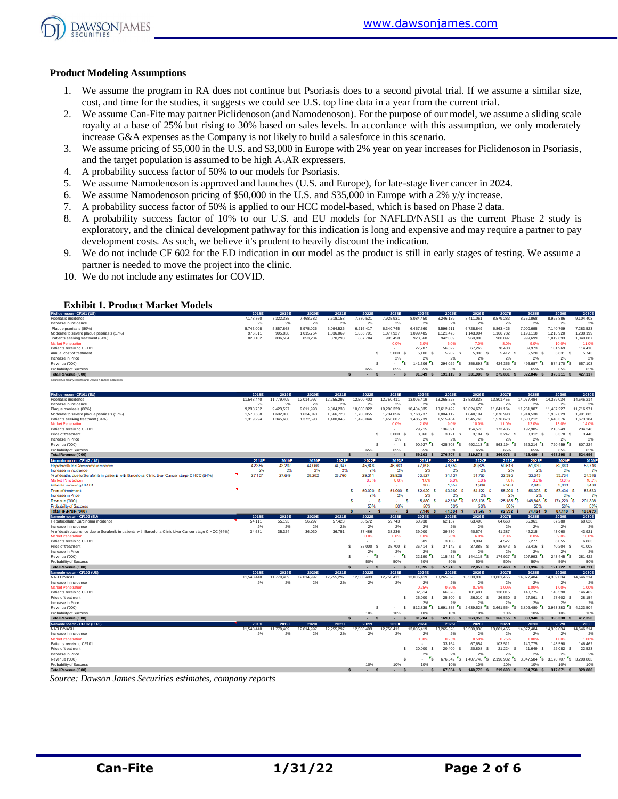

#### **Product Modeling Assumptions**

- 1. We assume the program in RA does not continue but Psoriasis does to a second pivotal trial. If we assume a similar size, cost, and time for the studies, it suggests we could see U.S. top line data in a year from the current trial.
- 2. We assume Can-Fite may partner Piclidenoson (and Namodenoson). For the purpose of our model, we assume a sliding scale royalty at a base of 25% but rising to 30% based on sales levels. In accordance with this assumption, we only moderately increase G&A expenses as the Company is not likely to build a salesforce in this scenario.
- 3. We assume pricing of \$5,000 in the U.S. and \$3,000 in Europe with 2% year on year increases for Piclidenoson in Psoriasis, and the target population is assumed to be high A3AR expressers.
- 4. A probability success factor of 50% to our models for Psoriasis.
- 5. We assume Namodenoson is approved and launches (U.S. and Europe), for late-stage liver cancer in 2024.
- 6. We assume Namodenoson pricing of \$50,000 in the U.S. and \$35,000 in Europe with a 2% y/y increase.
- 7. A probability success factor of 50% is applied to our HCC model-based, which is based on Phase 2 data.
- 8. A probability success factor of 10% to our U.S. and EU models for NAFLD/NASH as the current Phase 2 study is exploratory, and the clinical development pathway for this indication is long and expensive and may require a partner to pay development costs. As such, we believe it's prudent to heavily discount the indication.
- 9. We do not include CF 602 for the ED indication in our model as the product is still in early stages of testing. We assume a partner is needed to move the project into the clinic.
- 10. We do not include any estimates for COVID.

#### **Exhibit 1. Product Market Models**

| Piclidenoson - CF101 (US)                           | 2018E     | 2019E     | 2020E     | 2021E     | 2022E     | 2023E     | 2024E     | 2025E     | 2026E     | 2027E     | 2028E     | 2029E     | 2030E     |
|-----------------------------------------------------|-----------|-----------|-----------|-----------|-----------|-----------|-----------|-----------|-----------|-----------|-----------|-----------|-----------|
| Psoriasis incidence                                 | 7,178,760 | 322.335   | 7.468.782 | 7.618.158 | 7.770.521 | 925.931   | 8.084.450 | 8.246.139 | 8.411.061 | 8.579.283 | 8,750,868 | 8.925.886 | 9,104,403 |
| Increase in incidence                               | 2%        | 2%        | 2%        | 2%        | 2%        | 2%        | 2%        | 2%        | 2%        | 2%        | 2%        | 2%        | 2%        |
| Plague psoriasis (80%)                              | 5.743.008 | 5.857.868 | 5.975.026 | 6.094.526 | 6.216.417 | 6.340.745 | 6,467,560 | 6,596.91  | 6.728.849 | 6,863,426 | 7,000,695 | 7.140.709 | 7,283,523 |
| Moderate to severe plaque psoriasis (17%)           | 976,311   | 995,838   | 1.015.754 | 1,036,069 | 1.056.79  | 1.077.927 | 1,099,485 | 1,121,475 | 1,143,904 | 1,166,782 | 190,118   | 1,213,920 | 1,238,199 |
| Patients seeking treatment (84%)                    | 820,102   | 836,504   | 853,234   | 870.298   | 887.704   | 905,458   | 923.568   | 942,039   | 960,880   | 980,097   | 999,699   | 1.019.693 | 1,040,087 |
| <b>Market Penetration</b>                           |           |           |           |           |           | 0.0%      | 3.0%      | 6.0%      | 7.0%      | 8.0%      | 9.0%      | 10.0%     | 11.0%     |
| Patients receiving CF101                            |           |           |           |           |           |           | 27,707    | 56,522    | 67.262    | 78,408    | 89.973    | 101.969   | 114,410   |
| Annual cost of treatment                            |           |           |           |           |           | 5.000     | 5.100     | 5.202     | 5.306     | 5.412 S   | 5.520     | 5.631     | 5.743     |
| Increase in Price                                   |           |           |           |           |           | 2%        | 2%        | 2%        | 2%        | 2%        | 2%        | 2%        | 2%        |
| Revenue ('000)                                      |           |           |           |           |           |           | 141.306   | 294 029   | 356 893   | 424.356   | 496.687   | 574,170   | 657.103   |
| Probability of Success                              |           |           |           |           | 65%       | 65%       | 65%       | 65%       | 65%       | 65%       | 65%       | 65%       | 65%       |
| Total Revenue ('000)                                |           |           |           |           |           |           | 91.849    | 191.119   | 231.980   | 275,831   | 322.846   | 373.211   | 427.117   |
| Source: Company reports and Dawson James Securities |           |           |           |           |           |           |           |           |           |           |           |           |           |

| Piclidenoson - CF101 (EU)                                                                               | 2018E      | 2019E      | 2020E      | 2021E      | 2022E                              | 2023E        | 2024E                   | 2025E                                | 2026E                                          | 2027E                              | 2028E                              | 2029E                              | 2030E             |
|---------------------------------------------------------------------------------------------------------|------------|------------|------------|------------|------------------------------------|--------------|-------------------------|--------------------------------------|------------------------------------------------|------------------------------------|------------------------------------|------------------------------------|-------------------|
| Psoriasis incidence                                                                                     | 11,548,440 | 11,779,409 | 12,014,997 | 12,255,297 | 12,500,403                         | 12,750,411   | 13,005,419              | 13,265,528                           | 13,530,838                                     | 13,801,455                         | 14,077,484                         | 14,359,034                         | 14,646,214        |
| Increase in incidence                                                                                   | 2%         | 2%         | 2%         | 2%         | 2%                                 | 2%           | 2%                      | 2%                                   | 2%                                             | 2%                                 | 2%                                 | 2%                                 | 2%                |
| Plaque psoriasis (80%)                                                                                  | 9.238.752  | 9.423.527  | 9.611.998  | 9.804.238  | 10.000.322                         | 10.200.329   | 10.404.335              | 10.612.422                           | 10,824,670                                     | 11.041.164                         | 11.261.987                         | 11,487,227                         | 11,716,971        |
| Moderate to severe plaque psoriasis (17%)                                                               | 1,570,588  | 1.602.000  | 1.634.040  | 1,666,720  | 1.700.055                          | 1.734.056    | 1.768.737               | 1,804.112                            | 1.840.194                                      | 1.876.998                          | 1.914.538                          | 1.952.829                          | 1.991.885         |
| Patients seeking treatment (84%)                                                                        | 1,319,294  | 1.345.680  | 1.372.593  | 1,400,045  | 1,428,046                          | 1,456,607    | 1,485,739               | 1,515,454                            | 1,545,763                                      | 1,576,678                          | 1,608,212                          | 1,640,376                          | 1.673.184         |
| <b>Market Penetration</b>                                                                               |            |            |            |            |                                    | 0.0%         | 2.0%                    | 9.0%                                 | 10.0%                                          | 11.0%                              | 12.0%                              | 13.0%                              | 14.0%             |
| Patients receiving CF101                                                                                |            |            |            |            |                                    |              | 29.715                  | 136,391                              | 154,576                                        | 173,435                            | 192.985                            | 213,249                            | 234,246           |
| Price of treatment                                                                                      |            |            |            |            | s                                  | 3.000<br>-S  | 3.060<br>- \$           | 3,121<br>- \$                        | 3,184 S                                        | $3,247$ \$                         | 3.312 S                            | 3,378 \$                           | 3,446             |
| Increase in Price                                                                                       |            |            |            |            |                                    | 2%           | 2%                      | 2%                                   | 2%                                             | 2%                                 | 2%                                 | 2%                                 | 2%                |
| Revenue ('000)                                                                                          |            |            |            |            | s                                  | S.           | "s<br>90.927            | $\cdot$ s<br>425,703                 | $\mathbf{r}_{\mathsf{S}}$<br>492.113           | $\mathbf{r}_\mathbf{S}$<br>563.194 | $\mathbf{r}_\mathbf{S}$<br>639,214 | $\mathbf{r}_\mathbf{S}$<br>720,459 | 807,224           |
| Probability of Success                                                                                  |            |            |            |            | 65%                                | 65%          | 65%                     | 65%                                  | 65%                                            | 65%                                | 65%                                | 65%                                | 65%               |
| Total Revenue ('000)                                                                                    |            |            |            |            | $\mathbf{s}$                       | ж.           | 59.103 \$               | 276,707 \$                           | 319,873 S                                      | 366,076 \$                         | 415,489<br>$\mathbf{s}$            | 468.298 \$                         | 524,696           |
| Na modenos on - CF102 (US)                                                                              | 2018E      | 2019E      | 2020E      | 2021E      | 2022E                              | 2023E        | 2024E                   | 2025E                                | 2026E                                          | 2027E                              | 2028E                              | 2029E                              | 20308             |
| Heoatocellular Carcinoma incidence                                                                      | 42.355     | 43.202     | 44.066     | 44.947     | 45.846                             | 46.763       | 47.698                  | 48.652                               | 49.625                                         | 50.618                             | 51.630                             | 52.663                             | 53,716            |
| Increase in incidence                                                                                   | 2%         | 2%         | 2%         | 2%         | 2%                                 | 2%           | 2%                      | 2%                                   | 2%                                             | 2%                                 | 2%                                 | 2%                                 | 2%                |
| % of deaths due to Sorafenib in patients with Barcelona Clinic Liver Cancer stage CHCC (64%)            | 27,107     | 27,649     | 28,202     | 28,766     | 29,341                             | 29,928       | 30,527                  | 31,137                               | 31,760                                         | 32,395                             | 33,043                             | 33,704                             | 34,378            |
| Market Penetration                                                                                      |            |            |            |            | 0.0%                               | 0.0%         | 1.0%                    | 5.0%                                 | 6.0%                                           | 7.0%                               | 8.0%                               | 9.0%                               | 10.0%             |
| Patients receiving CF101                                                                                |            |            |            |            |                                    |              | 305                     | 1,557                                | 1,906                                          | 2.268                              | 2.643                              | 3.033                              | 3,438             |
| Price of treatment                                                                                      | ٠          |            |            |            | s<br>50,000                        | 51,000<br>S  | 52.020                  | 53,060                               | 54,122                                         | 55.204 S<br>S                      | 56.308                             | 57,434                             | 58,583            |
| <b>Increase in Price</b>                                                                                |            |            |            |            | 2%                                 | 2%           | 2%                      | 2%                                   | 2%                                             | 2%                                 | 2%                                 | 2%                                 | 2%                |
| Revenue ('000)                                                                                          |            |            |            |            | s                                  | s            | 15,880<br>s<br>- S      | ٠s<br>82,608                         | 103,135                                        | Ts.<br>125,185 S                   | Fs.<br>148,848                     | 174.220                            | 201,398           |
| Probability of Success                                                                                  |            |            |            |            | 50%                                | 50%          | 50%                     | 50%                                  | 50%                                            | 50%                                | 50%                                | 50%                                | 50%               |
| Total Revenue ('000)                                                                                    |            |            |            |            |                                    | $\sim$       | 7.940                   | 41,304 \$                            | 51,567 \$                                      | 62.592 \$                          | 74.424                             | 87,110                             | 100,639           |
| Namodenoson - CF102 (EU                                                                                 | 2018E      | 2019E      | 2020E      | 2021E      | 2022E                              | 2023E        | 2024E                   | 2025E                                | 2026E                                          | 2027E                              | 2028E                              | 2029E                              | 2030E             |
| Hepatocellular Carcinoma incidence                                                                      | 54.111     | 55,193     | 56,297     | 57,423     | 58,572                             | 59,743       | 60,938                  | 62,157                               | 63,400                                         | 64,668                             | 65.961                             | 67,280                             | 68,626            |
| Increase in incidence                                                                                   | 2%         | 2%         | 2%         | 2%         | 2%                                 | 2%           | 2%                      | 2%                                   | 2%                                             | 2%                                 | 2%                                 | 2%                                 | 2%                |
| % of death occurrence due to Sorafenib in patients with Barcelona Clinic Liver Cancer stage C HCC (64%) | 34,631     | 35.324     | 36,030     | 36,751     | 37,486                             | 38.236       | 39,000                  | 39,780                               | 40,576                                         | 41,387                             | 42,215                             | 43,060                             | 43,921            |
| <b>Market Penetration</b>                                                                               |            |            |            |            | 0.0%                               | 0.0%         | 1.0%                    | 5.0%                                 | 6.0%                                           | 7.0%                               | 8.0%                               | 9.0%                               | 10.0%             |
| Patients receiving CF101                                                                                |            |            |            |            |                                    |              | 609                     | 3.108                                | 3.804                                          | 4.527                              | 5.277                              | 6.055                              | 6.863             |
| Price of treatment                                                                                      |            |            |            |            | 35,000<br>s<br>- S                 | 35,700<br>-S | 36,414<br>- 5           | 37.142 \$                            | 37,885<br>- S                                  | 38,643<br>-S                       | 39.416 S                           | $40.204$ \$                        | 41.008            |
| Increase in Price                                                                                       |            |            |            |            | 2%                                 | 2%           | 2%                      | 2%                                   | 2%                                             | 2%                                 | 2%                                 | 2%                                 | 2%                |
| Revenue ('000)                                                                                          |            |            |            |            | $r_{s}$<br>s                       | $r_{\rm s}$  | $r_{\rm s}$<br>22.190   | $\mathbf{r}_\mathbf{S}$<br>115,432   | $\mathbf{r}_\mathbf{S}$<br>144,115             | 174.927 S                          | $\mathbf{r}_\mathbf{S}$<br>207.993 | 243.445 S                          | 281,422           |
| Probability of Success                                                                                  |            |            |            |            | 50%                                | 50%          | 50%                     | 50%                                  | 50%                                            | 50%                                | 50%                                | 50%                                | 50%               |
| Total Revenue ('000)                                                                                    |            |            |            |            | -S<br>$\overline{\phantom{a}}$     |              | 11.095                  | 57,716 \$                            | 72.057 \$                                      | 87,463 \$                          | 103.996 \$                         | 121,722 \$                         | 140.711           |
| Namodenoson - CF102 (US)                                                                                | 2018E      | 2019E      | 2020E      | 2021E      | 2022E                              | 2023E        | 2024E                   | 2025E                                | 2026E                                          | 2027E                              | 2028E                              | 2029E                              | 2030E             |
| NAFLD/NASH                                                                                              | 11,548,440 | 11,779,409 | 12,014,997 | 12.255.297 | 12.500.403                         | 12.750.411   | 13.005.419              | 13.265.528                           | 13.530.838                                     | 13.801.455                         | 14.077.484                         | 14.359.034                         | 14.646.214        |
| Increase in incidence                                                                                   | 2%         | 2%         | 2%         | 2%         | 2%                                 | 2%           | 2%                      | 2%                                   | 2%                                             | 2%                                 | 2%                                 | 2%                                 | 2%                |
|                                                                                                         |            |            |            |            |                                    |              | 0.25%                   | 0.50%                                | 0.75%                                          | 1.00%                              |                                    | 1.00%                              |                   |
| <b>Market Penetration</b>                                                                               |            |            |            |            |                                    |              |                         |                                      |                                                |                                    | 1.00%                              |                                    | 1.00%             |
| Patients receiving CF101<br>Price of treatment                                                          |            |            |            |            |                                    | s            | 32.514<br>25,000 \$     | 66.328<br>25,500<br>- S              | 101.481<br>26.010 S                            | 138,015<br>26,530                  | 140,775<br>27.061<br>- S           | 143,590<br>27.602 \$               | 146.462<br>28.154 |
|                                                                                                         |            |            |            |            |                                    |              |                         |                                      |                                                | - S                                |                                    |                                    |                   |
| Increase in Price                                                                                       |            |            |            |            |                                    |              | 2%                      | 2%                                   | 2%                                             | 2%                                 | 2%                                 | 2%                                 | 2%                |
| Revenue ('000)                                                                                          |            |            |            |            | s                                  | s.           | $\mathbf{s}$<br>812.839 | $\mathbf{r}_\mathrm{s}$<br>1.691.355 | ٠,<br>2.639.528                                | $\cdot$ $\cdot$ s<br>3.661.554     | "s<br>3,809,480                    | $\mathsf{s}$<br>3.963.383          | 4.123.504         |
| Probability of Success                                                                                  |            |            |            |            | 10%                                | 10%          | 10%                     | 10%                                  | 10%                                            | 10%                                | 10%                                | 10%                                | 10%               |
| Total Revenue ('000)                                                                                    |            |            |            |            | $\mathbf{s}$<br>s<br>٠.            | ٠            | 81,284<br>- s           | 169.135 \$                           | 263.953 S                                      | 366.155 S                          | 380.948 \$                         | 396.338 \$                         | 412.350           |
| Namodenoson - CF102 (EU-5)                                                                              | 2018E      | 2019E      | 2020E      | 2021E      | 2022E                              | 2023E        | 2024E                   | 2025E                                | 2026E                                          | 2027E                              | 2028E                              | 2029E                              | 2030E             |
| NAFLD/NASH                                                                                              | 11,548,440 | 11,779,409 | 12.014.997 | 12.255.297 | 12.500.403                         | 12.750.411   | 13.005.419              | 13.265.528                           | 13.530.838                                     | 13.801.455                         | 14.077.484                         | 14.359.034                         | 14,646,214        |
| Increase in incidence                                                                                   | 2%         | 2%         | 2%         | 2%         | 2%                                 | 2%           | 2%                      | 2%                                   | 2%                                             | 2%                                 | 2%                                 | 2%                                 | 2%                |
| <b>Market Penetration</b>                                                                               |            |            |            |            |                                    |              | 0.00%                   | 0.25%                                | 0.50%                                          | 0.75%                              | 1.00%                              | 1.00%                              | 1.00%             |
| Patients receiving CF101                                                                                |            |            |            |            |                                    |              |                         | 33.164                               | 67.654                                         | 103.511                            | 140,775                            | 143,590                            | 146,462           |
| Price of treatment                                                                                      |            |            |            |            |                                    | s            | 20,000 \$               | 20,400 \$                            | 20,808<br>-S                                   | 21.224<br>- S                      | 21.649<br>- S                      | 22.082<br>- S                      | 22.523            |
| Increase in Price                                                                                       |            |            |            |            |                                    |              | 2%                      | 2%                                   | 2%                                             | 2%                                 | 2%                                 | 2%                                 | 2%                |
| Revenue ('000)                                                                                          |            |            |            |            |                                    | s            | г.                      |                                      | 676.542 \$1.407.748<br>$\cdot$ $\cdot$ $\cdot$ | 2.196.932 S                        | $\cdot$ $\cdot$ s<br>3.047.584     | $\mathsf{S}$<br>3.170.707          | 3.298.803         |
| Probability of Success                                                                                  |            |            |            |            | 10%                                | 10%          | 10%                     | 10%                                  | 10%                                            | 10%                                | 10%                                | 10%                                | 10%               |
| Total Revenue ('000)                                                                                    |            |            |            |            | $\mathbf{s}$<br>$\mathbf{s}$<br>٠. | -S           | -S                      | 67.654 \$                            | 140.775 \$                                     | 219,693 S                          | 304.758 \$                         | 317.071 \$                         | 329,880           |

*Source: Dawson James Securities estimates, company reports*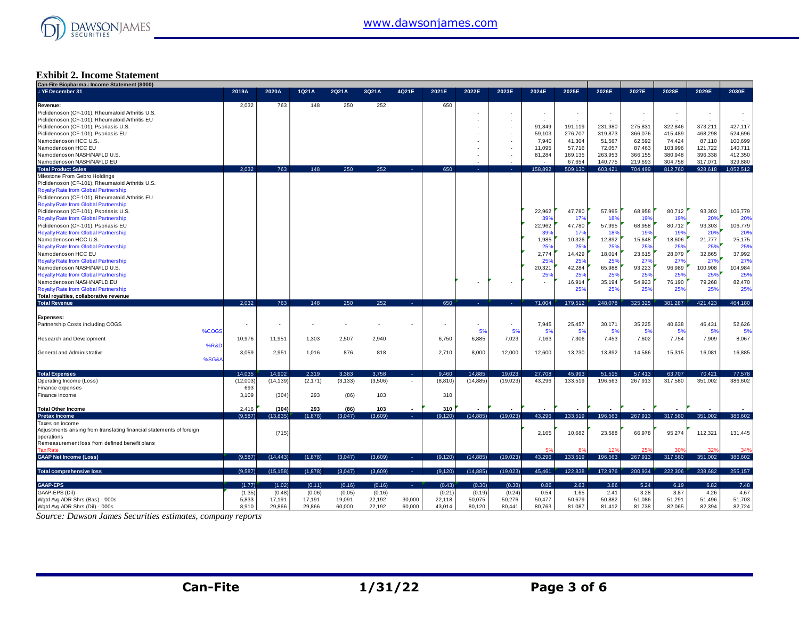

#### **Exhibit 2. Income Statement**

| Can-Fite Biopharma.: Income Statement (\$000)                        |          |           |          |          |         |                          |          |           |           |         |                          |         |                          |         |         |           |
|----------------------------------------------------------------------|----------|-----------|----------|----------|---------|--------------------------|----------|-----------|-----------|---------|--------------------------|---------|--------------------------|---------|---------|-----------|
| .: YE December 31                                                    | 2019A    | 2020A     | 1Q21A    | 2Q21A    | 3Q21A   | 4Q21E                    | 2021E    | 2022E     | 2023E     | 2024E   | 2025E                    | 2026E   | 2027E                    | 2028E   | 2029E   | 2030E     |
|                                                                      |          |           |          |          |         |                          |          |           |           |         |                          |         |                          |         |         |           |
| Revenue:                                                             | 2.032    | 763       | 148      | 250      | 252     |                          | 650      |           |           |         |                          |         |                          |         |         |           |
| Piclidenoson (CF-101), Rheumatoid Arthritis U.S.                     |          |           |          |          |         |                          |          |           |           | ٠       | $\overline{\phantom{a}}$ |         | $\overline{\phantom{a}}$ |         | $\sim$  |           |
| Piclidenoson (CF-101), Rheumatoid Arthritis EU                       |          |           |          |          |         |                          |          |           |           |         |                          |         |                          |         |         |           |
| Piclidenoson (CF-101), Psoriasis U.S.                                |          |           |          |          |         |                          |          |           |           | 91.849  | 191,119                  | 231,980 | 275,831                  | 322,846 | 373,211 | 427,117   |
| Piclidenoson (CF-101), Psoriasis EU                                  |          |           |          |          |         |                          |          |           |           | 59,103  | 276,707                  | 319,873 | 366,076                  | 415,489 | 468,298 | 524,696   |
| Namodenoson HCC U.S.                                                 |          |           |          |          |         |                          |          |           |           | 7,940   | 41,304                   | 51,567  | 62,592                   | 74,424  | 87,110  | 100,699   |
| Namodenoson HCC EU                                                   |          |           |          |          |         |                          |          |           |           | 11,095  | 57,716                   | 72,057  | 87,463                   | 103,996 | 121,722 | 140,711   |
| Namodenoson NASH/NAFLD U.S.                                          |          |           |          |          |         |                          |          |           |           | 81,284  | 169,135                  | 263,953 | 366,155                  | 380,948 | 396,338 | 412,350   |
| Namodenoson NASH/NAFLD EU                                            |          |           |          |          |         |                          |          |           |           |         | 67,654                   | 140,775 | 219,693                  | 304,758 | 317,071 | 329,880   |
| <b>Total Product Sales</b>                                           | 2.032    | 763       | 148      | 250      | 252     |                          | 650      |           |           | 158.892 | 509.130                  | 603.421 | 704.499                  | 812.760 | 928.618 | 1.052.512 |
| Milestone From Gebro Holdings                                        |          |           |          |          |         |                          |          |           |           |         |                          |         |                          |         |         |           |
| Piclidenoson (CF-101), Rheumatoid Arthritis U.S.                     |          |           |          |          |         |                          |          |           |           |         |                          |         |                          |         |         |           |
| <b>Royalty Rate from Global Partnership</b>                          |          |           |          |          |         |                          |          |           |           |         |                          |         |                          |         |         |           |
| Piclidenoson (CF-101), Rheumatoid Arthritis EU                       |          |           |          |          |         |                          |          |           |           |         |                          |         |                          |         |         |           |
| <b>Royalty Rate from Global Partnership</b>                          |          |           |          |          |         |                          |          |           |           |         |                          |         |                          |         |         |           |
| Piclidenoson (CF-101), Psoriasis U.S.                                |          |           |          |          |         |                          |          |           |           | 22,962  | 47,780                   | 57,995  | 68,958                   | 80,712  | 93,303  | 106,779   |
| Royalty Rate from Global Partnership                                 |          |           |          |          |         |                          |          |           |           | 39%     | 17%                      | 18%     | 19%                      | 19%     | 20%     | 20%       |
| Piclidenoson (CF-101), Psoriasis EU                                  |          |           |          |          |         |                          |          |           |           | 22,962  | 47,780                   | 57,995  | 68,958                   | 80,712  | 93,303  | 106,779   |
| <b>Royalty Rate from Global Partnership</b>                          |          |           |          |          |         |                          |          |           |           | 399     | 17%                      | 18%     | 19%                      | 199     | 20%     | 20%       |
| Namodenoson HCC U.S.                                                 |          |           |          |          |         |                          |          |           |           | 1,985   | 10,326                   | 12,892  | 15,648                   | 18,606  | 21,777  | 25,175    |
| <b>Royalty Rate from Global Partnership</b>                          |          |           |          |          |         |                          |          |           |           | 25%     | 25%                      | 25%     | 25 <sup>o</sup>          | 25%     | 25%     | 25%       |
| Namodenoson HCC EU                                                   |          |           |          |          |         |                          |          |           |           | 2.774   | 14,429                   | 18,014  | 23,615                   | 28.079  | 32,865  | 37,992    |
| <b>Royalty Rate from Global Partnership</b>                          |          |           |          |          |         |                          |          |           |           | 25%     | 25%                      | 25%     | 27%                      | 27%     | 27%     | 27%       |
| Namodenoson NASH/NAFLD U.S.                                          |          |           |          |          |         |                          |          |           |           | 20,321  | 42,284                   | 65,988  | 93,223                   | 96,989  | 100,908 | 104,984   |
| <b>Royalty Rate from Global Partnership</b>                          |          |           |          |          |         |                          |          |           |           | 25%     | 25%                      | 25%     | 25%                      | 25%     | 25%     | 25%       |
| Namodenoson NASH/NAFLD EU                                            |          |           |          |          |         |                          |          |           |           |         | 16,914                   | 35,194  | 54,923                   | 76,190  | 79,268  | 82,470    |
| <b>Royalty Rate from Global Partnership</b>                          |          |           |          |          |         |                          |          |           |           |         | 25%                      | 25%     | 25%                      | 25%     | 25%     | 25%       |
| Total royalties, collaborative revenue                               |          |           |          |          |         |                          |          |           |           |         |                          |         |                          |         |         |           |
| <b>Total Revenue</b>                                                 | 2.032    | 763       | 148      | 250      | 252     | х.                       | 650      |           | na l      | 71.004  | 179,512                  | 248,078 | 325.325                  | 381,287 | 421,423 | 464,180   |
|                                                                      |          |           |          |          |         |                          |          |           |           |         |                          |         |                          |         |         |           |
| Expenses:                                                            |          |           |          |          |         |                          |          |           |           |         |                          |         |                          |         |         |           |
| Partnership Costs including COGS                                     |          | ٠         |          |          |         |                          |          |           | $\sim$    | 7,945   | 25,457                   | 30,171  | 35,225                   | 40,638  | 46,431  | 52,626    |
| %COGS                                                                |          |           |          |          |         |                          |          | 5%        | 5%        | 5%      | 5%                       | 5%      | 5%                       | 5%      | 5%      | 5%        |
|                                                                      | 10,976   | 11,951    | 1,303    | 2,507    | 2,940   |                          | 6,750    | 6,885     | 7,023     | 7,163   | 7,306                    | 7,453   | 7,602                    | 7,754   | 7,909   | 8,067     |
| <b>Research and Development</b>                                      |          |           |          |          |         |                          |          |           |           |         |                          |         |                          |         |         |           |
| <b>%R&amp;D</b>                                                      |          |           |          |          |         |                          |          |           |           |         |                          |         |                          |         |         |           |
| General and Administrative                                           | 3,059    | 2,951     | 1,016    | 876      | 818     |                          | 2,710    | 8,000     | 12,000    | 12,600  | 13,230                   | 13,892  | 14,586                   | 15,315  | 16,081  | 16,885    |
| %SG&A                                                                |          |           |          |          |         |                          |          |           |           |         |                          |         |                          |         |         |           |
|                                                                      |          |           |          |          |         |                          |          |           |           |         |                          |         |                          |         |         |           |
| <b>Total Expenses</b>                                                | 14.035   | 14.902    | 2.319    | 3.383    | 3.758   | A.                       | 9.460    | 14.885    | 19.023    | 27,708  | 45.993                   | 51.515  | 57.413                   | 63.707  | 70.421  | 77,578    |
| Operating Income (Loss)                                              | (12,003) | (14, 139) | (2, 171) | (3, 133) | (3,506) | $\overline{\phantom{a}}$ | (8, 810) | (14, 885) | (19, 023) | 43.296  | 133.519                  | 196,563 | 267.913                  | 317,580 | 351,002 | 386,602   |
| Finance expenses                                                     | 693      |           |          |          |         |                          |          |           |           |         |                          |         |                          |         |         |           |
| Finance income                                                       | 3,109    | (304)     | 293      | (86)     | 103     |                          | 310      |           |           |         |                          |         |                          |         |         |           |
|                                                                      |          |           |          |          |         |                          |          |           |           |         |                          |         |                          |         |         |           |
| <b>Total Other Income</b>                                            | 2,416    | (304)     | 293      | (86)     | 103     |                          | 310      |           |           |         |                          |         |                          |         |         |           |
| <b>Pretax Income</b>                                                 | (9,587)  | (13, 835) | (1,878)  | (3,047)  | (3,609) | 14.1                     | (9, 120) | (14, 885) | (19,023)  | 43,296  | 133,519                  | 196,563 | 267,913                  | 317,580 | 351,002 | 386,602   |
| Taxes on income                                                      |          |           |          |          |         |                          |          |           |           |         |                          |         |                          |         |         |           |
| Adjustments arising from translating financial statements of foreign |          | (715)     |          |          |         |                          |          |           |           | 2,165   | 10,682                   | 23,588  | 66,978                   | 95,274  | 112,321 | 131,445   |
| operations                                                           |          |           |          |          |         |                          |          |           |           |         |                          |         |                          |         |         |           |
| Remeasurement loss from defined benefit plans                        |          |           |          |          |         |                          |          |           |           |         |                          |         |                          |         |         |           |
| <b>Tax Rate</b>                                                      |          |           |          |          |         |                          |          |           |           | 5%      | $\mathbf{R}^{\prime}$    | 12%     | 25 <sup>c</sup>          |         | 32%     | 34%       |
| <b>GAAP Net Income (Loss)</b>                                        | (9.587)  | (14.443)  | (1,878)  | (3,047)  | (3,609) | . .                      | (9, 120) | (14, 885) | (19,023)  | 43.296  | 133.519                  | 196.563 | 267,913                  | 317,580 | 351,002 | 386,602   |
|                                                                      |          |           |          |          |         |                          |          |           |           |         |                          |         |                          |         |         |           |
| <b>Total comprehensive loss</b>                                      | (9.587)  | (15, 158) | (1,878)  | (3,047)  | (3,609) | <b>Service</b>           | (9, 120) | (14, 885) | (19,023)  | 45,461  | 122,838                  | 172,976 | 200,934                  | 222,306 | 238.682 | 255,157   |
| <b>GAAP-EPS</b>                                                      | (1.77)   | (1.02)    | (0.11)   | (0.16)   | (0.16)  | х.                       | (0.43)   | (0.30)    | (0.38)    | 0.86    | 2.63                     | 3.86    | 5.24                     | 6.19    | 6.82    | 7.48      |
| GAAP-EPS (Dil)                                                       | (1.35)   | (0.48)    | (0.06)   | (0.05)   | (0.16)  | $\sim$                   | (0.21)   | (0.19)    | (0.24)    | 0.54    | 1.65                     | 2.41    | 3.28                     | 3.87    | 4.26    | 4.67      |
| Wgtd Avg ADR Shrs (Bas) - '000s                                      | 5,833    | 17,191    | 17,191   | 19,091   | 22,192  | 30,000                   | 22,118   | 50,075    | 50,276    | 50,477  | 50,679                   | 50,882  | 51,086                   | 51,291  | 51,496  | 51,703    |
| Wgtd Avg ADR Shrs (Dil) - '000s                                      | 8.910    | 29,866    | 29,866   | 60,000   | 22,192  | 60,000                   | 43,014   | 80,120    | 80,441    | 80,763  | 81,087                   | 81,412  | 81,738                   | 82,065  | 82.394  | 82,724    |
|                                                                      |          |           |          |          |         |                          |          |           |           |         |                          |         |                          |         |         |           |

*Source: Dawson James Securities estimates, company reports*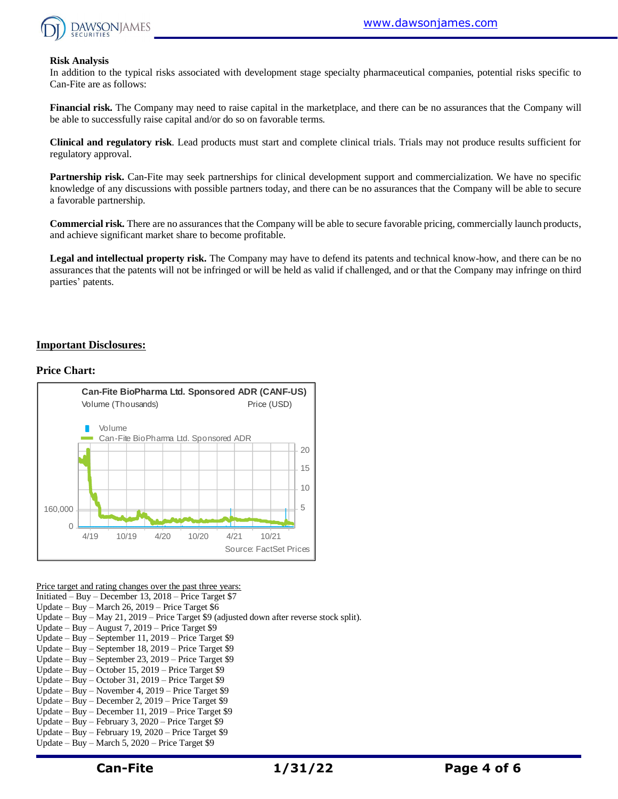

#### **Risk Analysis**

In addition to the typical risks associated with development stage specialty pharmaceutical companies, potential risks specific to Can-Fite are as follows:

**Financial risk.** The Company may need to raise capital in the marketplace, and there can be no assurances that the Company will be able to successfully raise capital and/or do so on favorable terms.

**Clinical and regulatory risk**. Lead products must start and complete clinical trials. Trials may not produce results sufficient for regulatory approval.

**Partnership risk.** Can-Fite may seek partnerships for clinical development support and commercialization. We have no specific knowledge of any discussions with possible partners today, and there can be no assurances that the Company will be able to secure a favorable partnership.

**Commercial risk.** There are no assurances that the Company will be able to secure favorable pricing, commercially launch products, and achieve significant market share to become profitable.

**Legal and intellectual property risk.** The Company may have to defend its patents and technical know-how, and there can be no assurances that the patents will not be infringed or will be held as valid if challenged, and or that the Company may infringe on third parties' patents.

#### **Important Disclosures:**

#### **Price Chart:**



Price target and rating changes over the past three years:

Initiated – Buy – December 13, 2018 – Price Target \$7

- Update Buy March 26, 2019 Price Target \$6
- Update Buy May 21, 2019 Price Target \$9 (adjusted down after reverse stock split).
- Update Buy August 7, 2019 Price Target \$9
- Update Buy September 11, 2019 Price Target \$9
- Update Buy September 18, 2019 Price Target \$9
- Update Buy September 23, 2019 Price Target \$9
- Update Buy October 15, 2019 Price Target \$9
- Update Buy October 31, 2019 Price Target \$9
- Update Buy November 4, 2019 Price Target \$9 Update – Buy – December 2, 2019 – Price Target \$9
- Update Buy December 11, 2019 Price Target \$9
- Update Buy February 3, 2020 Price Target \$9
- Update Buy February 19, 2020 Price Target \$9
- Update Buy March 5, 2020 Price Target \$9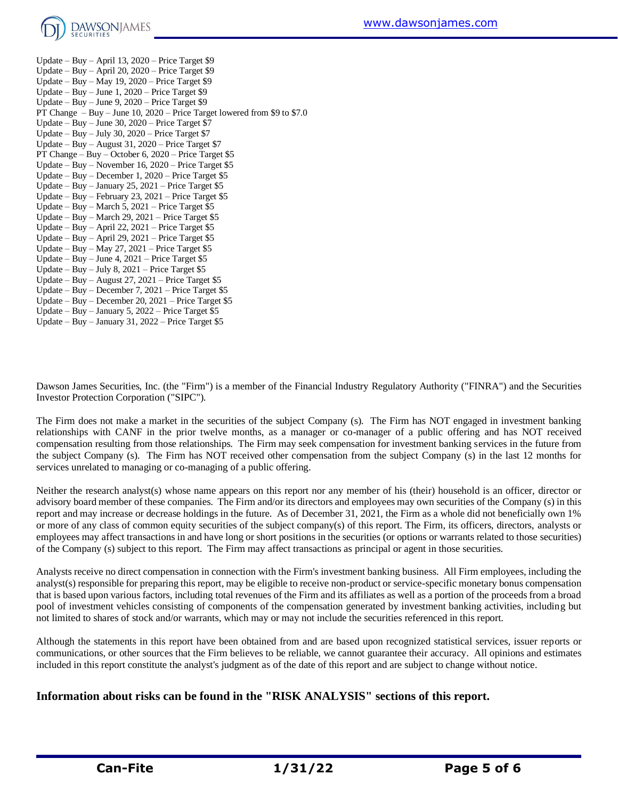

Update – Buy – April 13, 2020 – Price Target \$9 Update – Buy – April 20, 2020 – Price Target \$9 Update – Buy – May 19, 2020 – Price Target \$9 Update – Buy – June 1, 2020 – Price Target \$9 Update – Buy – June 9, 2020 – Price Target \$9 PT Change – Buy – June 10, 2020 – Price Target lowered from \$9 to \$7.0 Update – Buy – June  $30, 2020$  – Price Target \$7 Update – Buy – July 30, 2020 – Price Target \$7 Update – Buy – August 31, 2020 – Price Target \$7 PT Change – Buy – October 6, 2020 – Price Target \$5 Update – Buy – November 16, 2020 – Price Target \$5 Update – Buy – December 1, 2020 – Price Target \$5 Update – Buy – January 25, 2021 – Price Target \$5 Update – Buy – February 23, 2021 – Price Target \$5 Update – Buy – March 5, 2021 – Price Target  $$5$ Update – Buy – March 29, 2021 – Price Target \$5 Update – Buy – April 22, 2021 – Price Target \$5 Update – Buy – April 29, 2021 – Price Target \$5 Update – Buy – May 27, 2021 – Price Target \$5 Update – Buy – June 4, 2021 – Price Target \$5 Update – Buy – July 8, 2021 – Price Target \$5 Update – Buy – August 27, 2021 – Price Target  $$5$ Update – Buy – December 7, 2021 – Price Target \$5 Update – Buy – December 20, 2021 – Price Target \$5 Update – Buy – January 5, 2022 – Price Target \$5 Update – Buy – January 31, 2022 – Price Target \$5

Dawson James Securities, Inc. (the "Firm") is a member of the Financial Industry Regulatory Authority ("FINRA") and the Securities Investor Protection Corporation ("SIPC").

The Firm does not make a market in the securities of the subject Company (s). The Firm has NOT engaged in investment banking relationships with CANF in the prior twelve months, as a manager or co-manager of a public offering and has NOT received compensation resulting from those relationships. The Firm may seek compensation for investment banking services in the future from the subject Company (s). The Firm has NOT received other compensation from the subject Company (s) in the last 12 months for services unrelated to managing or co-managing of a public offering.

Neither the research analyst(s) whose name appears on this report nor any member of his (their) household is an officer, director or advisory board member of these companies. The Firm and/or its directors and employees may own securities of the Company (s) in this report and may increase or decrease holdings in the future. As of December 31, 2021, the Firm as a whole did not beneficially own 1% or more of any class of common equity securities of the subject company(s) of this report. The Firm, its officers, directors, analysts or employees may affect transactions in and have long or short positions in the securities (or options or warrants related to those securities) of the Company (s) subject to this report. The Firm may affect transactions as principal or agent in those securities.

Analysts receive no direct compensation in connection with the Firm's investment banking business. All Firm employees, including the analyst(s) responsible for preparing this report, may be eligible to receive non-product or service-specific monetary bonus compensation that is based upon various factors, including total revenues of the Firm and its affiliates as well as a portion of the proceeds from a broad pool of investment vehicles consisting of components of the compensation generated by investment banking activities, including but not limited to shares of stock and/or warrants, which may or may not include the securities referenced in this report.

Although the statements in this report have been obtained from and are based upon recognized statistical services, issuer reports or communications, or other sources that the Firm believes to be reliable, we cannot guarantee their accuracy. All opinions and estimates included in this report constitute the analyst's judgment as of the date of this report and are subject to change without notice.

#### **Information about risks can be found in the "RISK ANALYSIS" sections of this report.**